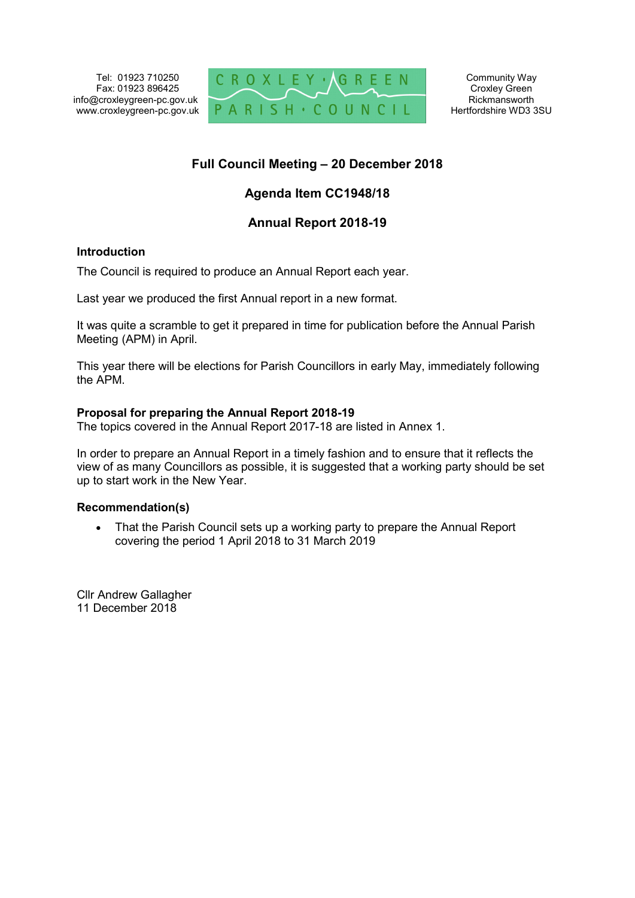Tel: 01923 710250 Fax: 01923 896425 info@croxleygreen-pc.gov.uk www.croxleygreen-pc.gov.uk



## **Full Council Meeting – 20 December 2018**

# **Agenda Item CC1948/18**

## **Annual Report 2018-19**

#### **Introduction**

The Council is required to produce an Annual Report each year.

Last year we produced the first Annual report in a new format.

It was quite a scramble to get it prepared in time for publication before the Annual Parish Meeting (APM) in April.

This year there will be elections for Parish Councillors in early May, immediately following the APM.

#### **Proposal for preparing the Annual Report 2018-19**

The topics covered in the Annual Report 2017-18 are listed in Annex 1.

In order to prepare an Annual Report in a timely fashion and to ensure that it reflects the view of as many Councillors as possible, it is suggested that a working party should be set up to start work in the New Year.

#### **Recommendation(s)**

• That the Parish Council sets up a working party to prepare the Annual Report covering the period 1 April 2018 to 31 March 2019

Cllr Andrew Gallagher 11 December 2018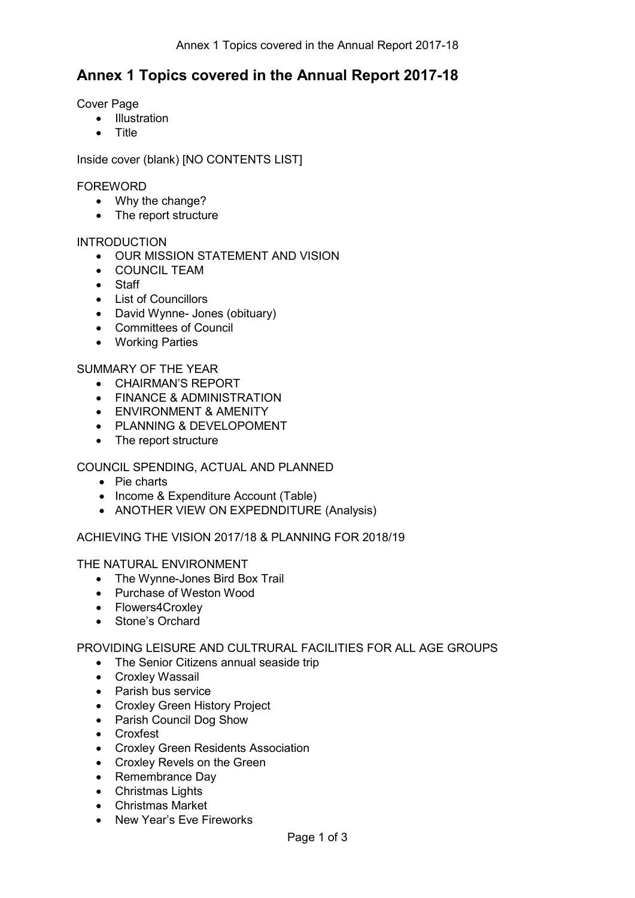# **Annex 1 Topics covered in the Annual Report 2017-18**

Cover Page

- Illustration
- **Title**

Inside cover (blank) [NO CONTENTS LIST]

#### FOREWORD

- Why the change?
- The report structure

#### INTRODUCTION

- OUR MISSION STATEMENT AND VISION
- COUNCIL TEAM
- Staff
- List of Councillors
- David Wynne- Jones (obituary)
- Committees of Council
- Working Parties

#### SUMMARY OF THE YEAR

- CHAIRMAN'S REPORT
- **FINANCE & ADMINISTRATION**
- ENVIRONMENT & AMENITY
- PLANNING & DEVELOPOMENT
- The report structure

## COUNCIL SPENDING, ACTUAL AND PLANNED

- Pie charts
- Income & Expenditure Account (Table)
- ANOTHER VIEW ON EXPEDNDITURE (Analysis)

ACHIEVING THE VISION 2017/18 & PLANNING FOR 2018/19

THE NATURAL ENVIRONMENT

- The Wynne-Jones Bird Box Trail
- Purchase of Weston Wood
- Flowers4Croxlev
- Stone's Orchard

PROVIDING LEISURE AND CULTRURAL FACILITIES FOR ALL AGE GROUPS

- The Senior Citizens annual seaside trip
- Croxley Wassail
- Parish bus service
- Croxley Green History Project
- Parish Council Dog Show
- Croxfest
- Croxley Green Residents Association
- Croxley Revels on the Green
- Remembrance Day
- Christmas Lights
- Christmas Market
- New Year's Eve Fireworks